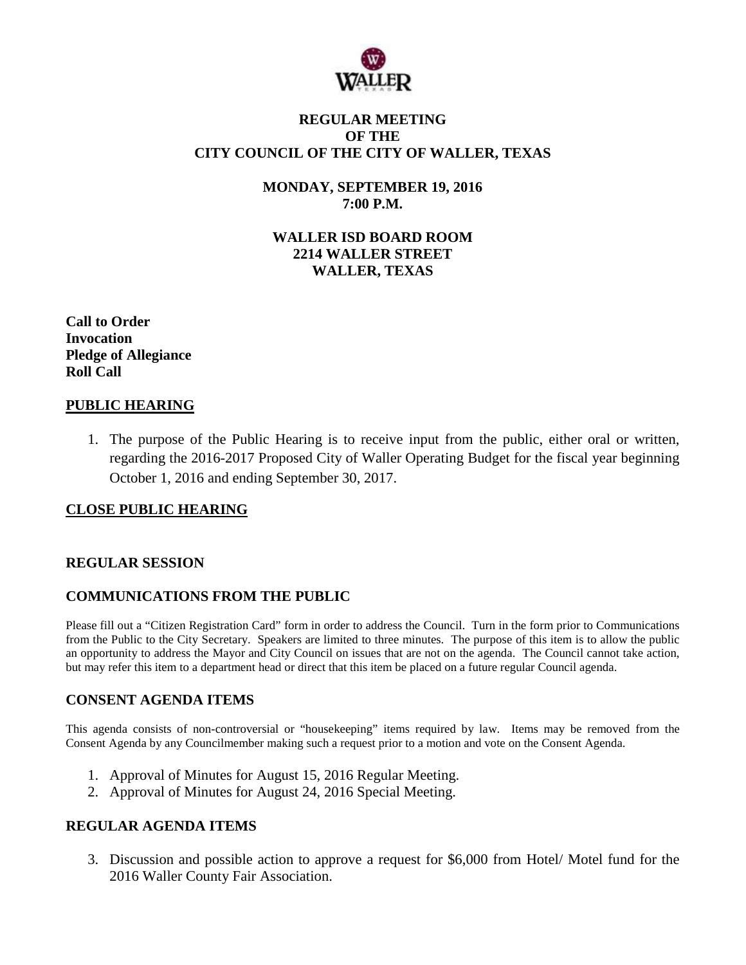

### **REGULAR MEETING OF THE CITY COUNCIL OF THE CITY OF WALLER, TEXAS**

**MONDAY, SEPTEMBER 19, 2016 7:00 P.M.**

**WALLER ISD BOARD ROOM 2214 WALLER STREET WALLER, TEXAS**

**Call to Order Invocation Pledge of Allegiance Roll Call**

## **PUBLIC HEARING**

1. The purpose of the Public Hearing is to receive input from the public, either oral or written, regarding the 2016-2017 Proposed City of Waller Operating Budget for the fiscal year beginning October 1, 2016 and ending September 30, 2017.

#### **CLOSE PUBLIC HEARING**

#### **REGULAR SESSION**

#### **COMMUNICATIONS FROM THE PUBLIC**

Please fill out a "Citizen Registration Card" form in order to address the Council. Turn in the form prior to Communications from the Public to the City Secretary. Speakers are limited to three minutes. The purpose of this item is to allow the public an opportunity to address the Mayor and City Council on issues that are not on the agenda. The Council cannot take action, but may refer this item to a department head or direct that this item be placed on a future regular Council agenda.

#### **CONSENT AGENDA ITEMS**

This agenda consists of non-controversial or "housekeeping" items required by law. Items may be removed from the Consent Agenda by any Councilmember making such a request prior to a motion and vote on the Consent Agenda.

- 1. Approval of Minutes for August 15, 2016 Regular Meeting.
- 2. Approval of Minutes for August 24, 2016 Special Meeting.

#### **REGULAR AGENDA ITEMS**

3. Discussion and possible action to approve a request for \$6,000 from Hotel/ Motel fund for the 2016 Waller County Fair Association.